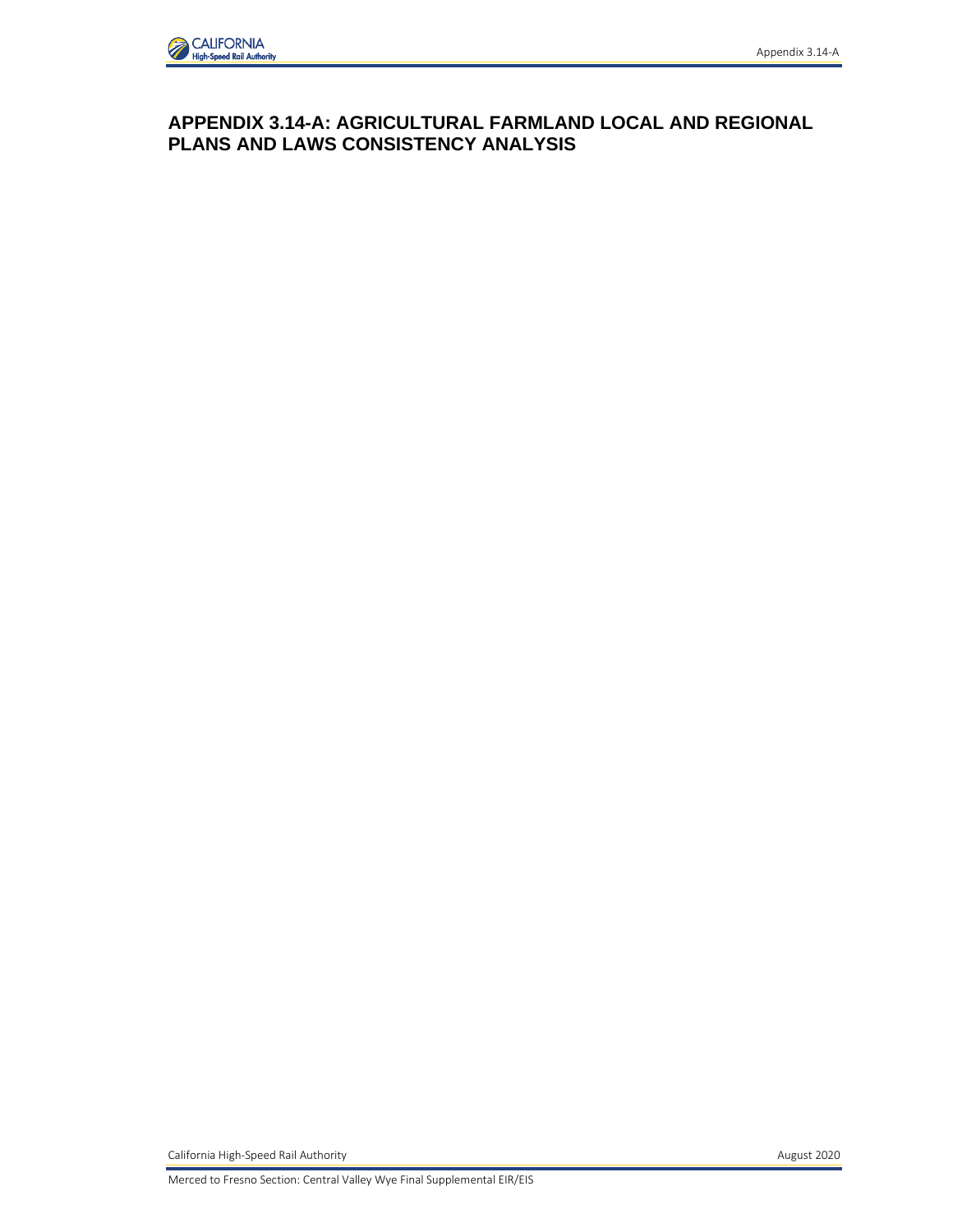

## **APPENDIX 3.14-A: AGRICULTURAL FARMLAND LOCAL AND REGIONAL PLANS AND LAWS CONSISTENCY ANALYSIS**

California High-Speed Rail Authority **August 2020 August 2020** 

Merced to Fresno Section: Central Valley Wye Final Supplemental EIR/EIS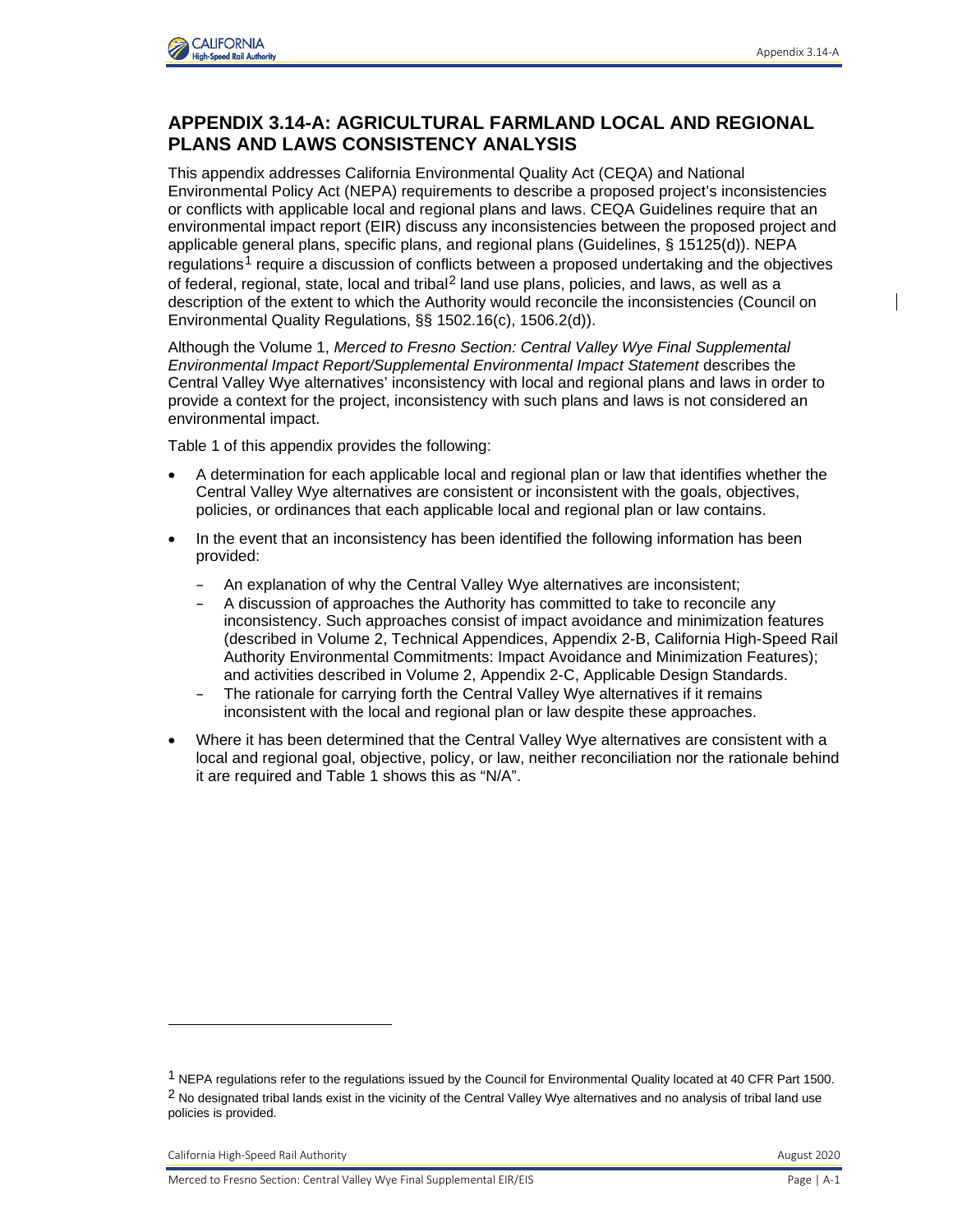

## **APPENDIX 3.14-A: AGRICULTURAL FARMLAND LOCAL AND REGIONAL PLANS AND LAWS CONSISTENCY ANALYSIS**

This appendix addresses California Environmental Quality Act (CEQA) and National Environmental Policy Act (NEPA) requirements to describe a proposed project's inconsistencies or conflicts with applicable local and regional plans and laws. CEQA Guidelines require that an environmental impact report (EIR) discuss any inconsistencies between the proposed project and applicable general plans, specific plans, and regional plans (Guidelines, § 15125(d)). NEPA regulations<sup>[1](#page-1-0)</sup> require a discussion of conflicts between a proposed undertaking and the objectives of federal, regional, state, local and tribal<sup>[2](#page-1-1)</sup> land use plans, policies, and laws, as well as a description of the extent to which the Authority would reconcile the inconsistencies (Council on Environmental Quality Regulations, §§ 1502.16(c), 1506.2(d)).

Although the Volume 1, *Merced to Fresno Section: Central Valley Wye Final Supplemental Environmental Impact Report/Supplemental Environmental Impact Statement* describes the Central Valley Wye alternatives' inconsistency with local and regional plans and laws in order to provide a context for the project, inconsistency with such plans and laws is not considered an environmental impact.

Table 1 of this appendix provides the following:

- A determination for each applicable local and regional plan or law that identifies whether the Central Valley Wye alternatives are consistent or inconsistent with the goals, objectives, policies, or ordinances that each applicable local and regional plan or law contains.
- In the event that an inconsistency has been identified the following information has been provided:
	- An explanation of why the Central Valley Wye alternatives are inconsistent;
	- A discussion of approaches the Authority has committed to take to reconcile any inconsistency. Such approaches consist of impact avoidance and minimization features (described in Volume 2, Technical Appendices, Appendix 2-B, California High-Speed Rail Authority Environmental Commitments: Impact Avoidance and Minimization Features); and activities described in Volume 2, Appendix 2-C, Applicable Design Standards.
	- The rationale for carrying forth the Central Valley Wye alternatives if it remains inconsistent with the local and regional plan or law despite these approaches.
- Where it has been determined that the Central Valley Wye alternatives are consistent with a local and regional goal, objective, policy, or law, neither reconciliation nor the rationale behind it are required and Table 1 shows this as "N/A".

<span id="page-1-1"></span><span id="page-1-0"></span><sup>1</sup> NEPA regulations refer to the regulations issued by the Council for Environmental Quality located at 40 CFR Part 1500.  $2$  No designated tribal lands exist in the vicinity of the Central Valley Wye alternatives and no analysis of tribal land use policies is provided.

California High-Speed Rail Authority **August 2020** California High-Speed Rail Authority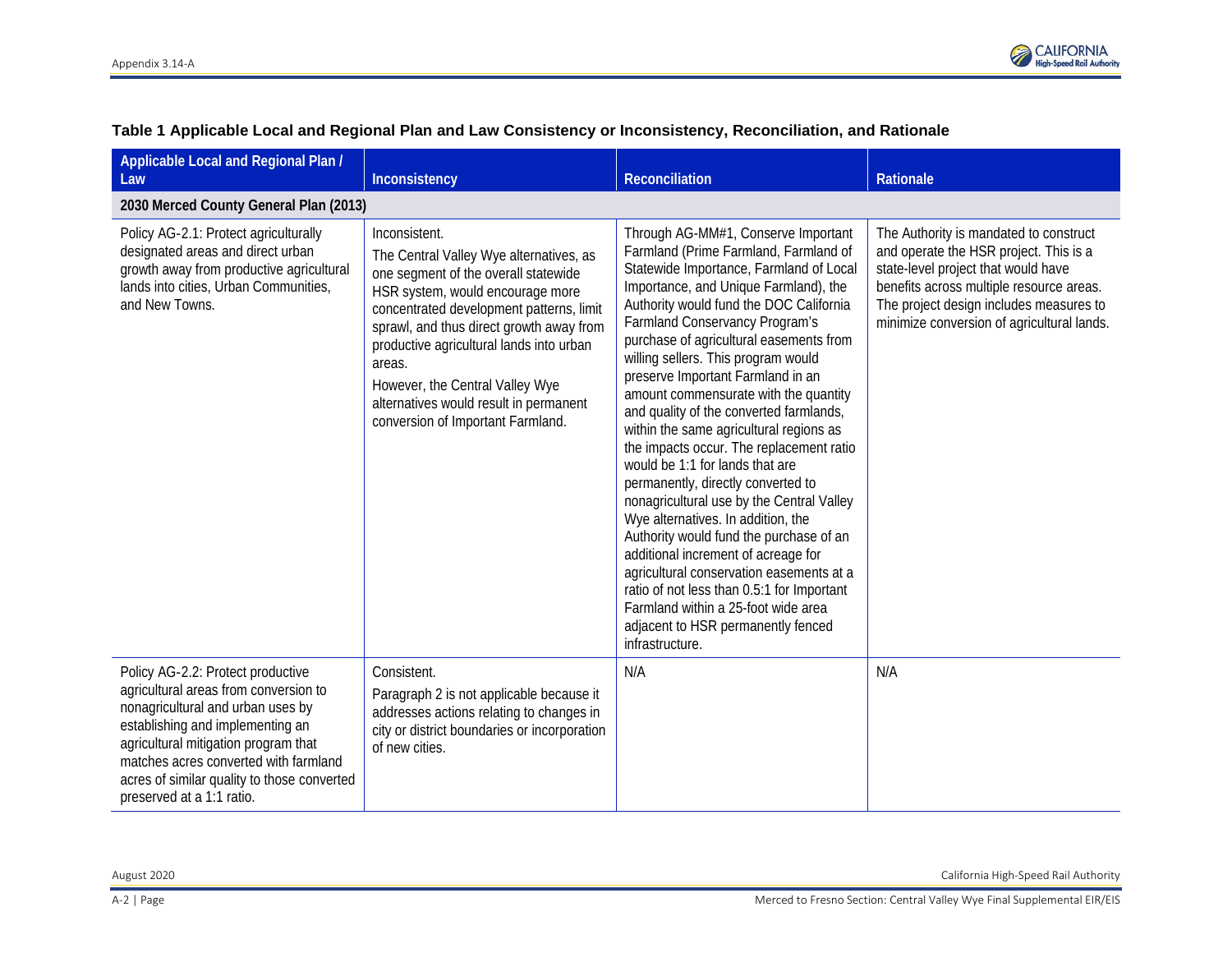

| Applicable Local and Regional Plan /<br>Law                                                                                                                                                                                                                                                                      | Inconsistency                                                                                                                                                                                                                                                                                                                                                                                        | Reconciliation                                                                                                                                                                                                                                                                                                                                                                                                                                                                                                                                                                                                                                                                                                                                                                                                                                                                                                                                                                                 | Rationale                                                                                                                                                                                                                                                    |
|------------------------------------------------------------------------------------------------------------------------------------------------------------------------------------------------------------------------------------------------------------------------------------------------------------------|------------------------------------------------------------------------------------------------------------------------------------------------------------------------------------------------------------------------------------------------------------------------------------------------------------------------------------------------------------------------------------------------------|------------------------------------------------------------------------------------------------------------------------------------------------------------------------------------------------------------------------------------------------------------------------------------------------------------------------------------------------------------------------------------------------------------------------------------------------------------------------------------------------------------------------------------------------------------------------------------------------------------------------------------------------------------------------------------------------------------------------------------------------------------------------------------------------------------------------------------------------------------------------------------------------------------------------------------------------------------------------------------------------|--------------------------------------------------------------------------------------------------------------------------------------------------------------------------------------------------------------------------------------------------------------|
| 2030 Merced County General Plan (2013)                                                                                                                                                                                                                                                                           |                                                                                                                                                                                                                                                                                                                                                                                                      |                                                                                                                                                                                                                                                                                                                                                                                                                                                                                                                                                                                                                                                                                                                                                                                                                                                                                                                                                                                                |                                                                                                                                                                                                                                                              |
| Policy AG-2.1: Protect agriculturally<br>designated areas and direct urban<br>growth away from productive agricultural<br>lands into cities, Urban Communities,<br>and New Towns.                                                                                                                                | Inconsistent.<br>The Central Valley Wye alternatives, as<br>one segment of the overall statewide<br>HSR system, would encourage more<br>concentrated development patterns, limit<br>sprawl, and thus direct growth away from<br>productive agricultural lands into urban<br>areas.<br>However, the Central Valley Wye<br>alternatives would result in permanent<br>conversion of Important Farmland. | Through AG-MM#1, Conserve Important<br>Farmland (Prime Farmland, Farmland of<br>Statewide Importance, Farmland of Local<br>Importance, and Unique Farmland), the<br>Authority would fund the DOC California<br><b>Farmland Conservancy Program's</b><br>purchase of agricultural easements from<br>willing sellers. This program would<br>preserve Important Farmland in an<br>amount commensurate with the quantity<br>and quality of the converted farmlands,<br>within the same agricultural regions as<br>the impacts occur. The replacement ratio<br>would be 1:1 for lands that are<br>permanently, directly converted to<br>nonagricultural use by the Central Valley<br>Wye alternatives. In addition, the<br>Authority would fund the purchase of an<br>additional increment of acreage for<br>agricultural conservation easements at a<br>ratio of not less than 0.5:1 for Important<br>Farmland within a 25-foot wide area<br>adjacent to HSR permanently fenced<br>infrastructure. | The Authority is mandated to construct<br>and operate the HSR project. This is a<br>state-level project that would have<br>benefits across multiple resource areas.<br>The project design includes measures to<br>minimize conversion of agricultural lands. |
| Policy AG-2.2: Protect productive<br>agricultural areas from conversion to<br>nonagricultural and urban uses by<br>establishing and implementing an<br>agricultural mitigation program that<br>matches acres converted with farmland<br>acres of similar quality to those converted<br>preserved at a 1:1 ratio. | Consistent.<br>Paragraph 2 is not applicable because it<br>addresses actions relating to changes in<br>city or district boundaries or incorporation<br>of new cities.                                                                                                                                                                                                                                | N/A                                                                                                                                                                                                                                                                                                                                                                                                                                                                                                                                                                                                                                                                                                                                                                                                                                                                                                                                                                                            | N/A                                                                                                                                                                                                                                                          |

## **Table 1 Applicable Local and Regional Plan and Law Consistency or Inconsistency, Reconciliation, and Rationale**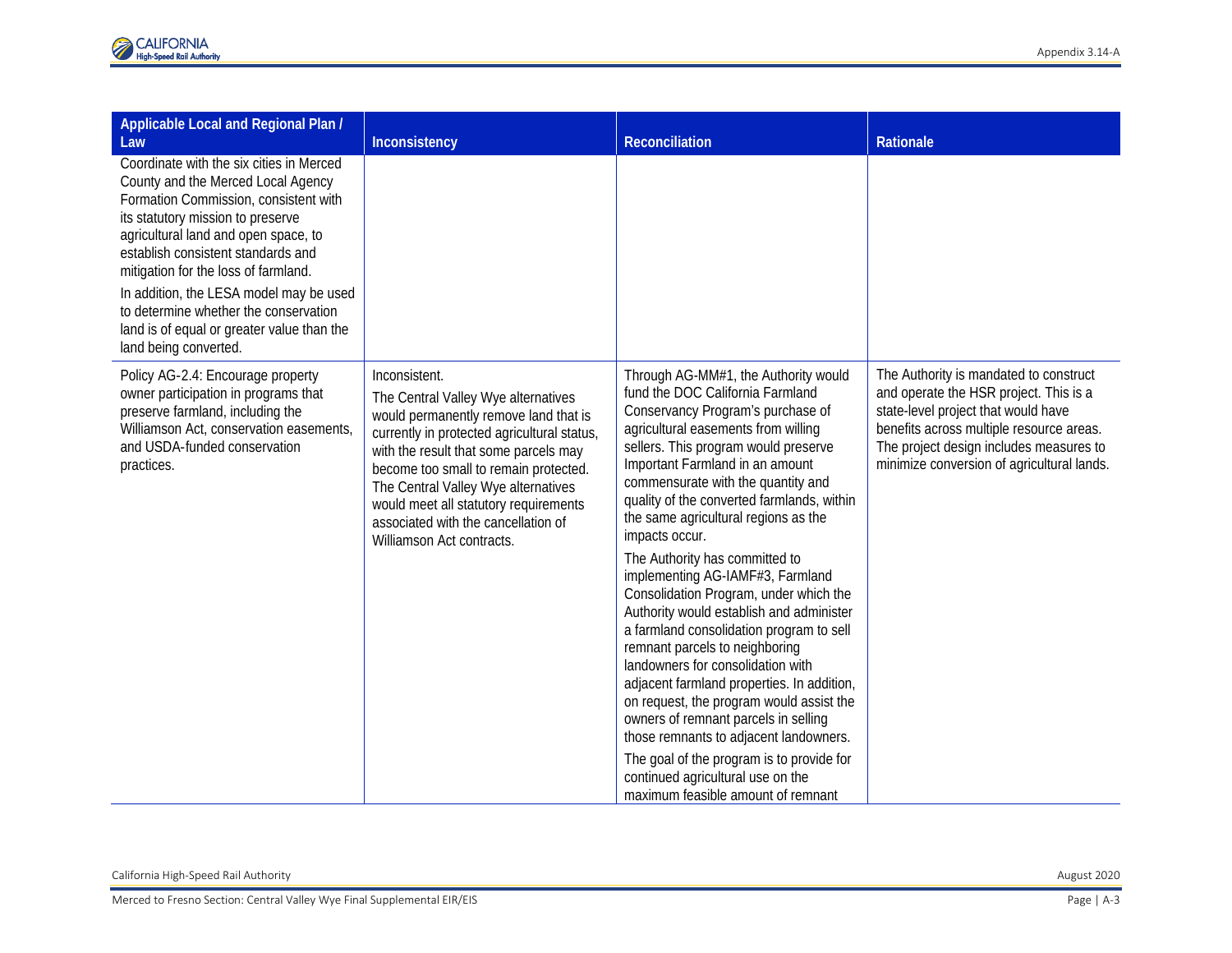| Applicable Local and Regional Plan /<br>Law                                                                                                                                                                                                                                                                                                                                                                                                   | Inconsistency                                                                                                                                                                                                                                                                                                                                                                      | <b>Reconciliation</b>                                                                                                                                                                                                                                                                                                                                                                                                                                                                                                                                                                                                                                                                                                                                                                                                                                                                                                                                            | <b>Rationale</b>                                                                                                                                                                                                                                             |
|-----------------------------------------------------------------------------------------------------------------------------------------------------------------------------------------------------------------------------------------------------------------------------------------------------------------------------------------------------------------------------------------------------------------------------------------------|------------------------------------------------------------------------------------------------------------------------------------------------------------------------------------------------------------------------------------------------------------------------------------------------------------------------------------------------------------------------------------|------------------------------------------------------------------------------------------------------------------------------------------------------------------------------------------------------------------------------------------------------------------------------------------------------------------------------------------------------------------------------------------------------------------------------------------------------------------------------------------------------------------------------------------------------------------------------------------------------------------------------------------------------------------------------------------------------------------------------------------------------------------------------------------------------------------------------------------------------------------------------------------------------------------------------------------------------------------|--------------------------------------------------------------------------------------------------------------------------------------------------------------------------------------------------------------------------------------------------------------|
| Coordinate with the six cities in Merced<br>County and the Merced Local Agency<br>Formation Commission, consistent with<br>its statutory mission to preserve<br>agricultural land and open space, to<br>establish consistent standards and<br>mitigation for the loss of farmland.<br>In addition, the LESA model may be used<br>to determine whether the conservation<br>land is of equal or greater value than the<br>land being converted. |                                                                                                                                                                                                                                                                                                                                                                                    |                                                                                                                                                                                                                                                                                                                                                                                                                                                                                                                                                                                                                                                                                                                                                                                                                                                                                                                                                                  |                                                                                                                                                                                                                                                              |
| Policy AG-2.4: Encourage property<br>owner participation in programs that<br>preserve farmland, including the<br>Williamson Act, conservation easements,<br>and USDA-funded conservation<br>practices.                                                                                                                                                                                                                                        | Inconsistent.<br>The Central Valley Wye alternatives<br>would permanently remove land that is<br>currently in protected agricultural status,<br>with the result that some parcels may<br>become too small to remain protected.<br>The Central Valley Wye alternatives<br>would meet all statutory requirements<br>associated with the cancellation of<br>Williamson Act contracts. | Through AG-MM#1, the Authority would<br>fund the DOC California Farmland<br>Conservancy Program's purchase of<br>agricultural easements from willing<br>sellers. This program would preserve<br>Important Farmland in an amount<br>commensurate with the quantity and<br>quality of the converted farmlands, within<br>the same agricultural regions as the<br>impacts occur.<br>The Authority has committed to<br>implementing AG-IAMF#3, Farmland<br>Consolidation Program, under which the<br>Authority would establish and administer<br>a farmland consolidation program to sell<br>remnant parcels to neighboring<br>landowners for consolidation with<br>adjacent farmland properties. In addition,<br>on request, the program would assist the<br>owners of remnant parcels in selling<br>those remnants to adjacent landowners.<br>The goal of the program is to provide for<br>continued agricultural use on the<br>maximum feasible amount of remnant | The Authority is mandated to construct<br>and operate the HSR project. This is a<br>state-level project that would have<br>benefits across multiple resource areas.<br>The project design includes measures to<br>minimize conversion of agricultural lands. |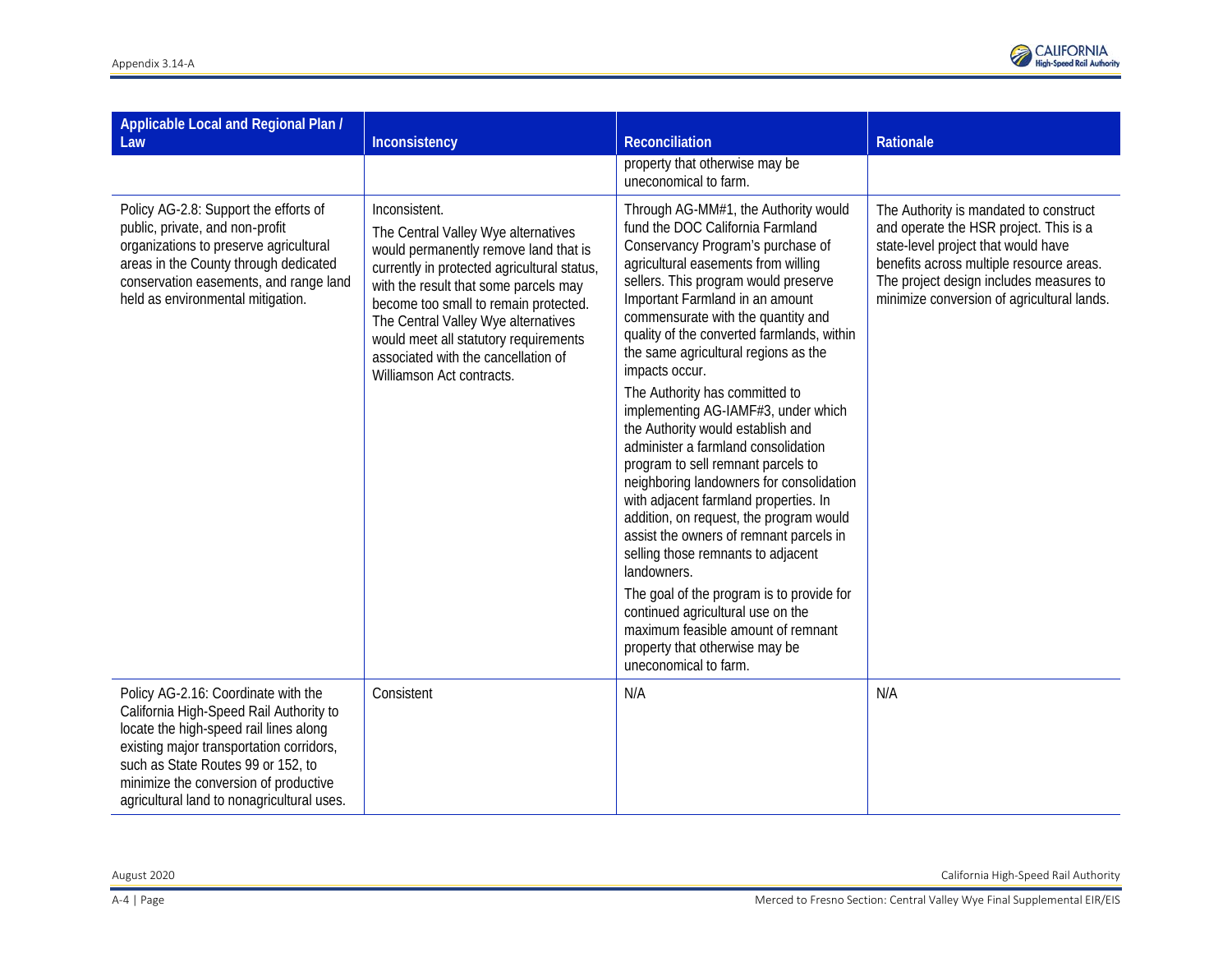

| Applicable Local and Regional Plan /<br>Law                                                                                                                                                                                                                                                       | Inconsistency                                                                                                                                                                                                                                                                                                                                                                      | Reconciliation                                                                                                                                                                                                                                                                                                                                                                                                                                                                                                                                                                                                                                                                                                                                                                                                                                                                                                                                                                              | Rationale                                                                                                                                                                                                                                                    |
|---------------------------------------------------------------------------------------------------------------------------------------------------------------------------------------------------------------------------------------------------------------------------------------------------|------------------------------------------------------------------------------------------------------------------------------------------------------------------------------------------------------------------------------------------------------------------------------------------------------------------------------------------------------------------------------------|---------------------------------------------------------------------------------------------------------------------------------------------------------------------------------------------------------------------------------------------------------------------------------------------------------------------------------------------------------------------------------------------------------------------------------------------------------------------------------------------------------------------------------------------------------------------------------------------------------------------------------------------------------------------------------------------------------------------------------------------------------------------------------------------------------------------------------------------------------------------------------------------------------------------------------------------------------------------------------------------|--------------------------------------------------------------------------------------------------------------------------------------------------------------------------------------------------------------------------------------------------------------|
|                                                                                                                                                                                                                                                                                                   |                                                                                                                                                                                                                                                                                                                                                                                    | property that otherwise may be<br>uneconomical to farm.                                                                                                                                                                                                                                                                                                                                                                                                                                                                                                                                                                                                                                                                                                                                                                                                                                                                                                                                     |                                                                                                                                                                                                                                                              |
| Policy AG-2.8: Support the efforts of<br>public, private, and non-profit<br>organizations to preserve agricultural<br>areas in the County through dedicated<br>conservation easements, and range land<br>held as environmental mitigation.                                                        | Inconsistent.<br>The Central Valley Wye alternatives<br>would permanently remove land that is<br>currently in protected agricultural status,<br>with the result that some parcels may<br>become too small to remain protected.<br>The Central Valley Wye alternatives<br>would meet all statutory requirements<br>associated with the cancellation of<br>Williamson Act contracts. | Through AG-MM#1, the Authority would<br>fund the DOC California Farmland<br>Conservancy Program's purchase of<br>agricultural easements from willing<br>sellers. This program would preserve<br>Important Farmland in an amount<br>commensurate with the quantity and<br>quality of the converted farmlands, within<br>the same agricultural regions as the<br>impacts occur.<br>The Authority has committed to<br>implementing AG-IAMF#3, under which<br>the Authority would establish and<br>administer a farmland consolidation<br>program to sell remnant parcels to<br>neighboring landowners for consolidation<br>with adjacent farmland properties. In<br>addition, on request, the program would<br>assist the owners of remnant parcels in<br>selling those remnants to adjacent<br>landowners.<br>The goal of the program is to provide for<br>continued agricultural use on the<br>maximum feasible amount of remnant<br>property that otherwise may be<br>uneconomical to farm. | The Authority is mandated to construct<br>and operate the HSR project. This is a<br>state-level project that would have<br>benefits across multiple resource areas.<br>The project design includes measures to<br>minimize conversion of agricultural lands. |
| Policy AG-2.16: Coordinate with the<br>California High-Speed Rail Authority to<br>locate the high-speed rail lines along<br>existing major transportation corridors,<br>such as State Routes 99 or 152, to<br>minimize the conversion of productive<br>agricultural land to nonagricultural uses. | Consistent                                                                                                                                                                                                                                                                                                                                                                         | N/A                                                                                                                                                                                                                                                                                                                                                                                                                                                                                                                                                                                                                                                                                                                                                                                                                                                                                                                                                                                         | N/A                                                                                                                                                                                                                                                          |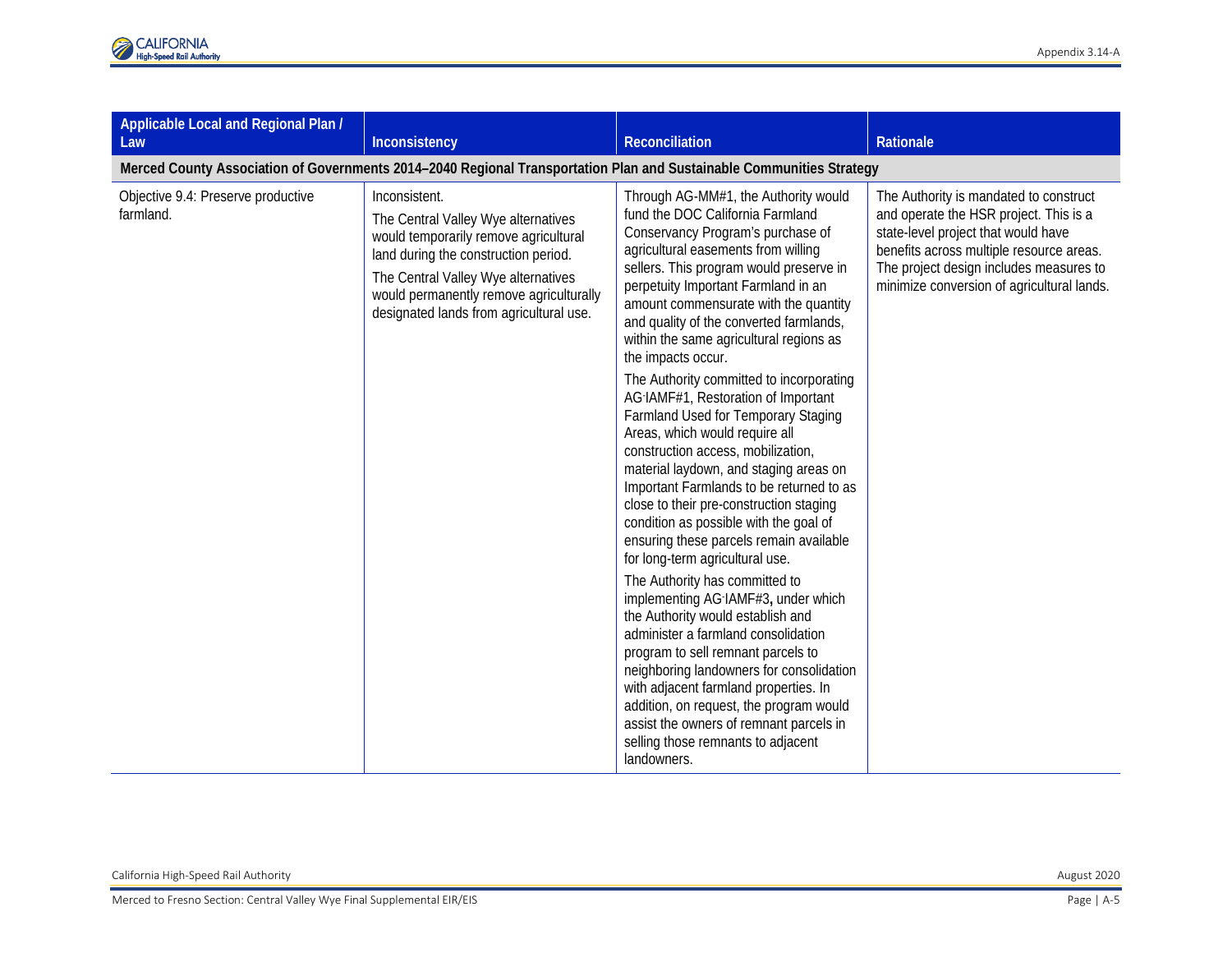| Applicable Local and Regional Plan /<br>Law                                                                          | Inconsistency                                                                                                                                                                                                                                                      | Reconciliation                                                                                                                                                                                                                                                                                                                                                                                                                                                                                                                                                                                                                                                                                                                                                                                                                                                                                                                                                                                                                                                                                                                                                                                                                                                                    | Rationale                                                                                                                                                                                                                                                    |  |
|----------------------------------------------------------------------------------------------------------------------|--------------------------------------------------------------------------------------------------------------------------------------------------------------------------------------------------------------------------------------------------------------------|-----------------------------------------------------------------------------------------------------------------------------------------------------------------------------------------------------------------------------------------------------------------------------------------------------------------------------------------------------------------------------------------------------------------------------------------------------------------------------------------------------------------------------------------------------------------------------------------------------------------------------------------------------------------------------------------------------------------------------------------------------------------------------------------------------------------------------------------------------------------------------------------------------------------------------------------------------------------------------------------------------------------------------------------------------------------------------------------------------------------------------------------------------------------------------------------------------------------------------------------------------------------------------------|--------------------------------------------------------------------------------------------------------------------------------------------------------------------------------------------------------------------------------------------------------------|--|
| Merced County Association of Governments 2014-2040 Regional Transportation Plan and Sustainable Communities Strategy |                                                                                                                                                                                                                                                                    |                                                                                                                                                                                                                                                                                                                                                                                                                                                                                                                                                                                                                                                                                                                                                                                                                                                                                                                                                                                                                                                                                                                                                                                                                                                                                   |                                                                                                                                                                                                                                                              |  |
| Objective 9.4: Preserve productive<br>farmland.                                                                      | Inconsistent.<br>The Central Valley Wye alternatives<br>would temporarily remove agricultural<br>land during the construction period.<br>The Central Valley Wye alternatives<br>would permanently remove agriculturally<br>designated lands from agricultural use. | Through AG-MM#1, the Authority would<br>fund the DOC California Farmland<br>Conservancy Program's purchase of<br>agricultural easements from willing<br>sellers. This program would preserve in<br>perpetuity Important Farmland in an<br>amount commensurate with the quantity<br>and quality of the converted farmlands,<br>within the same agricultural regions as<br>the impacts occur.<br>The Authority committed to incorporating<br>AG-IAMF#1, Restoration of Important<br>Farmland Used for Temporary Staging<br>Areas, which would require all<br>construction access, mobilization,<br>material laydown, and staging areas on<br>Important Farmlands to be returned to as<br>close to their pre-construction staging<br>condition as possible with the goal of<br>ensuring these parcels remain available<br>for long-term agricultural use.<br>The Authority has committed to<br>implementing AG-IAMF#3, under which<br>the Authority would establish and<br>administer a farmland consolidation<br>program to sell remnant parcels to<br>neighboring landowners for consolidation<br>with adjacent farmland properties. In<br>addition, on request, the program would<br>assist the owners of remnant parcels in<br>selling those remnants to adjacent<br>landowners. | The Authority is mandated to construct<br>and operate the HSR project. This is a<br>state-level project that would have<br>benefits across multiple resource areas.<br>The project design includes measures to<br>minimize conversion of agricultural lands. |  |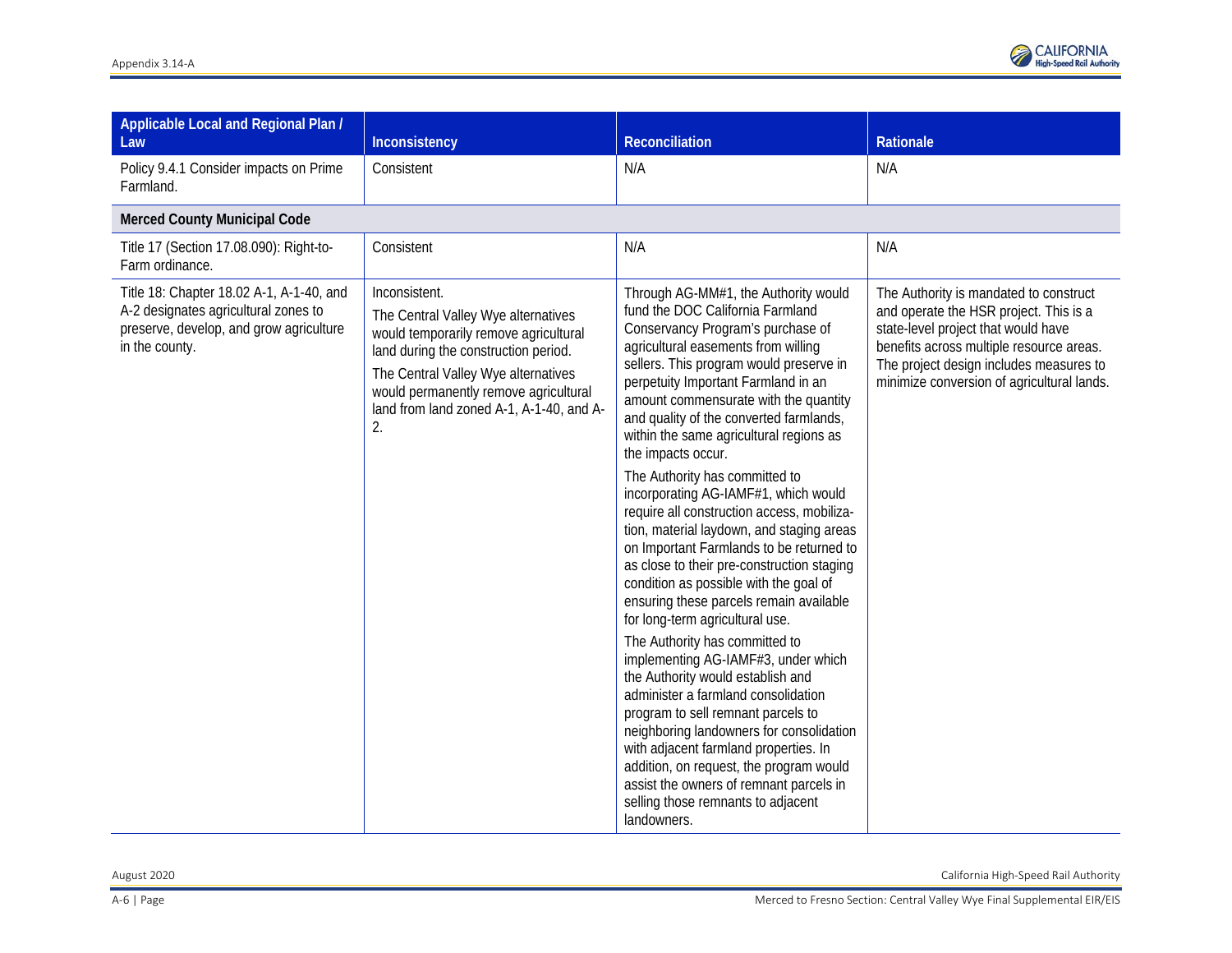

| Applicable Local and Regional Plan /<br>Law                                                                                                   | Inconsistency                                                                                                                                                                                                                                                           | <b>Reconciliation</b>                                                                                                                                                                                                                                                                                                                                                                                                                                                                                                                                                                                                                                                                                                                                                                                                                                                                                                                                                                                                                                                                                                                                                                                         | Rationale                                                                                                                                                                                                                                                    |
|-----------------------------------------------------------------------------------------------------------------------------------------------|-------------------------------------------------------------------------------------------------------------------------------------------------------------------------------------------------------------------------------------------------------------------------|---------------------------------------------------------------------------------------------------------------------------------------------------------------------------------------------------------------------------------------------------------------------------------------------------------------------------------------------------------------------------------------------------------------------------------------------------------------------------------------------------------------------------------------------------------------------------------------------------------------------------------------------------------------------------------------------------------------------------------------------------------------------------------------------------------------------------------------------------------------------------------------------------------------------------------------------------------------------------------------------------------------------------------------------------------------------------------------------------------------------------------------------------------------------------------------------------------------|--------------------------------------------------------------------------------------------------------------------------------------------------------------------------------------------------------------------------------------------------------------|
| Policy 9.4.1 Consider impacts on Prime<br>Farmland.                                                                                           | Consistent                                                                                                                                                                                                                                                              | N/A                                                                                                                                                                                                                                                                                                                                                                                                                                                                                                                                                                                                                                                                                                                                                                                                                                                                                                                                                                                                                                                                                                                                                                                                           | N/A                                                                                                                                                                                                                                                          |
| <b>Merced County Municipal Code</b>                                                                                                           |                                                                                                                                                                                                                                                                         |                                                                                                                                                                                                                                                                                                                                                                                                                                                                                                                                                                                                                                                                                                                                                                                                                                                                                                                                                                                                                                                                                                                                                                                                               |                                                                                                                                                                                                                                                              |
| Title 17 (Section 17.08.090): Right-to-<br>Farm ordinance.                                                                                    | Consistent                                                                                                                                                                                                                                                              | N/A                                                                                                                                                                                                                                                                                                                                                                                                                                                                                                                                                                                                                                                                                                                                                                                                                                                                                                                                                                                                                                                                                                                                                                                                           | N/A                                                                                                                                                                                                                                                          |
| Title 18: Chapter 18.02 A-1, A-1-40, and<br>A-2 designates agricultural zones to<br>preserve, develop, and grow agriculture<br>in the county. | Inconsistent.<br>The Central Valley Wye alternatives<br>would temporarily remove agricultural<br>land during the construction period.<br>The Central Valley Wye alternatives<br>would permanently remove agricultural<br>land from land zoned A-1, A-1-40, and A-<br>2. | Through AG-MM#1, the Authority would<br>fund the DOC California Farmland<br>Conservancy Program's purchase of<br>agricultural easements from willing<br>sellers. This program would preserve in<br>perpetuity Important Farmland in an<br>amount commensurate with the quantity<br>and quality of the converted farmlands,<br>within the same agricultural regions as<br>the impacts occur.<br>The Authority has committed to<br>incorporating AG-IAMF#1, which would<br>require all construction access, mobiliza-<br>tion, material laydown, and staging areas<br>on Important Farmlands to be returned to<br>as close to their pre-construction staging<br>condition as possible with the goal of<br>ensuring these parcels remain available<br>for long-term agricultural use.<br>The Authority has committed to<br>implementing AG-IAMF#3, under which<br>the Authority would establish and<br>administer a farmland consolidation<br>program to sell remnant parcels to<br>neighboring landowners for consolidation<br>with adjacent farmland properties. In<br>addition, on request, the program would<br>assist the owners of remnant parcels in<br>selling those remnants to adjacent<br>landowners. | The Authority is mandated to construct<br>and operate the HSR project. This is a<br>state-level project that would have<br>benefits across multiple resource areas.<br>The project design includes measures to<br>minimize conversion of agricultural lands. |

August 2020 California High-Speed Rail Authority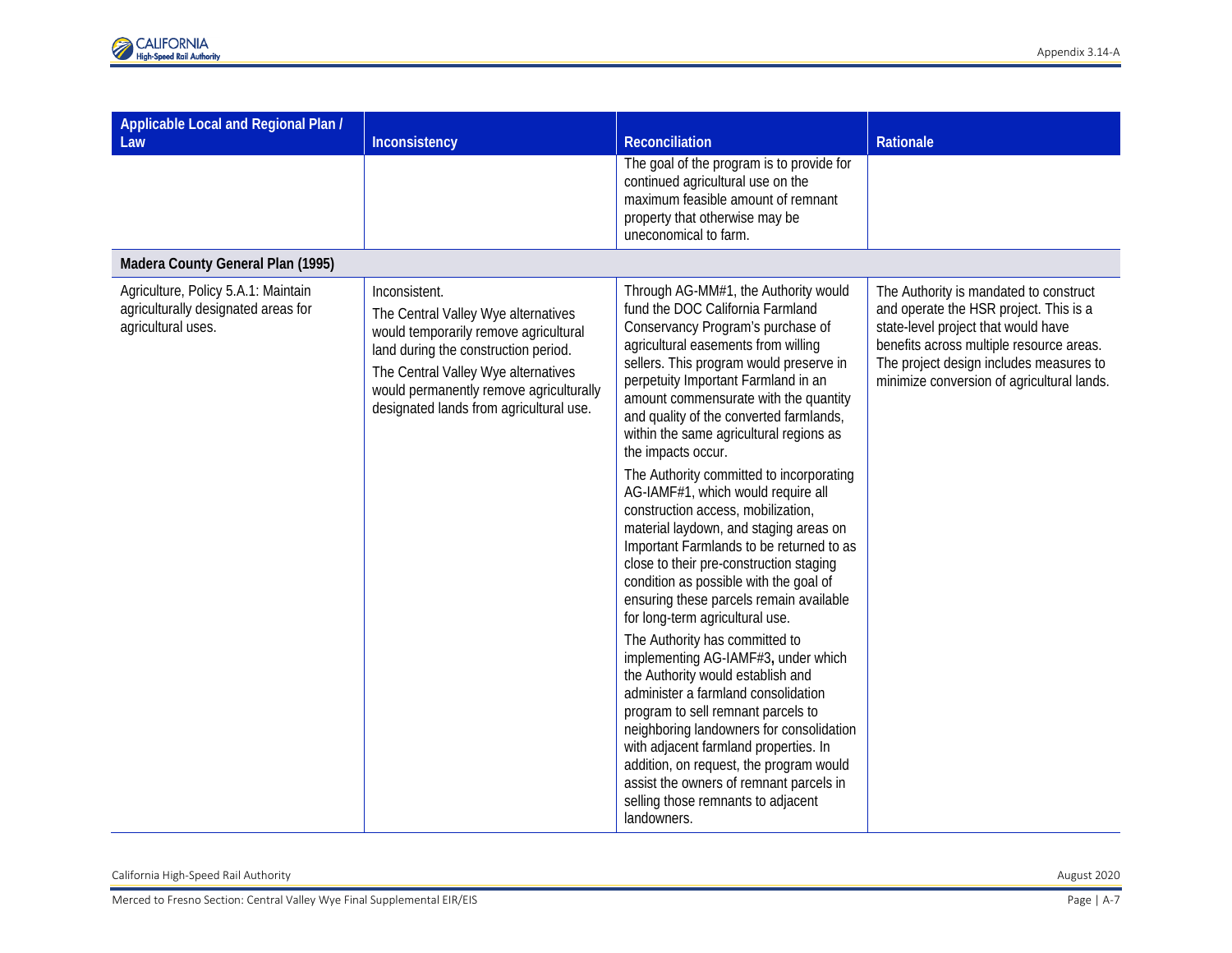| Applicable Local and Regional Plan /<br>Law                                                      | Inconsistency                                                                                                                                                                                                                                                      | Reconciliation                                                                                                                                                                                                                                                                                                                                                                                                                                                                                                                                                                                                                                                                                                                                                                                                                                                                                                                                                                                                                                                                                                                                                                                          | Rationale                                                                                                                                                                                                                                                    |
|--------------------------------------------------------------------------------------------------|--------------------------------------------------------------------------------------------------------------------------------------------------------------------------------------------------------------------------------------------------------------------|---------------------------------------------------------------------------------------------------------------------------------------------------------------------------------------------------------------------------------------------------------------------------------------------------------------------------------------------------------------------------------------------------------------------------------------------------------------------------------------------------------------------------------------------------------------------------------------------------------------------------------------------------------------------------------------------------------------------------------------------------------------------------------------------------------------------------------------------------------------------------------------------------------------------------------------------------------------------------------------------------------------------------------------------------------------------------------------------------------------------------------------------------------------------------------------------------------|--------------------------------------------------------------------------------------------------------------------------------------------------------------------------------------------------------------------------------------------------------------|
|                                                                                                  |                                                                                                                                                                                                                                                                    | The goal of the program is to provide for<br>continued agricultural use on the<br>maximum feasible amount of remnant<br>property that otherwise may be<br>uneconomical to farm.                                                                                                                                                                                                                                                                                                                                                                                                                                                                                                                                                                                                                                                                                                                                                                                                                                                                                                                                                                                                                         |                                                                                                                                                                                                                                                              |
| Madera County General Plan (1995)                                                                |                                                                                                                                                                                                                                                                    |                                                                                                                                                                                                                                                                                                                                                                                                                                                                                                                                                                                                                                                                                                                                                                                                                                                                                                                                                                                                                                                                                                                                                                                                         |                                                                                                                                                                                                                                                              |
| Agriculture, Policy 5.A.1: Maintain<br>agriculturally designated areas for<br>agricultural uses. | Inconsistent.<br>The Central Valley Wye alternatives<br>would temporarily remove agricultural<br>land during the construction period.<br>The Central Valley Wye alternatives<br>would permanently remove agriculturally<br>designated lands from agricultural use. | Through AG-MM#1, the Authority would<br>fund the DOC California Farmland<br>Conservancy Program's purchase of<br>agricultural easements from willing<br>sellers. This program would preserve in<br>perpetuity Important Farmland in an<br>amount commensurate with the quantity<br>and quality of the converted farmlands,<br>within the same agricultural regions as<br>the impacts occur.<br>The Authority committed to incorporating<br>AG-IAMF#1, which would require all<br>construction access, mobilization,<br>material laydown, and staging areas on<br>Important Farmlands to be returned to as<br>close to their pre-construction staging<br>condition as possible with the goal of<br>ensuring these parcels remain available<br>for long-term agricultural use.<br>The Authority has committed to<br>implementing AG-IAMF#3, under which<br>the Authority would establish and<br>administer a farmland consolidation<br>program to sell remnant parcels to<br>neighboring landowners for consolidation<br>with adjacent farmland properties. In<br>addition, on request, the program would<br>assist the owners of remnant parcels in<br>selling those remnants to adjacent<br>landowners. | The Authority is mandated to construct<br>and operate the HSR project. This is a<br>state-level project that would have<br>benefits across multiple resource areas.<br>The project design includes measures to<br>minimize conversion of agricultural lands. |

California High-Speed Rail Authority August 2020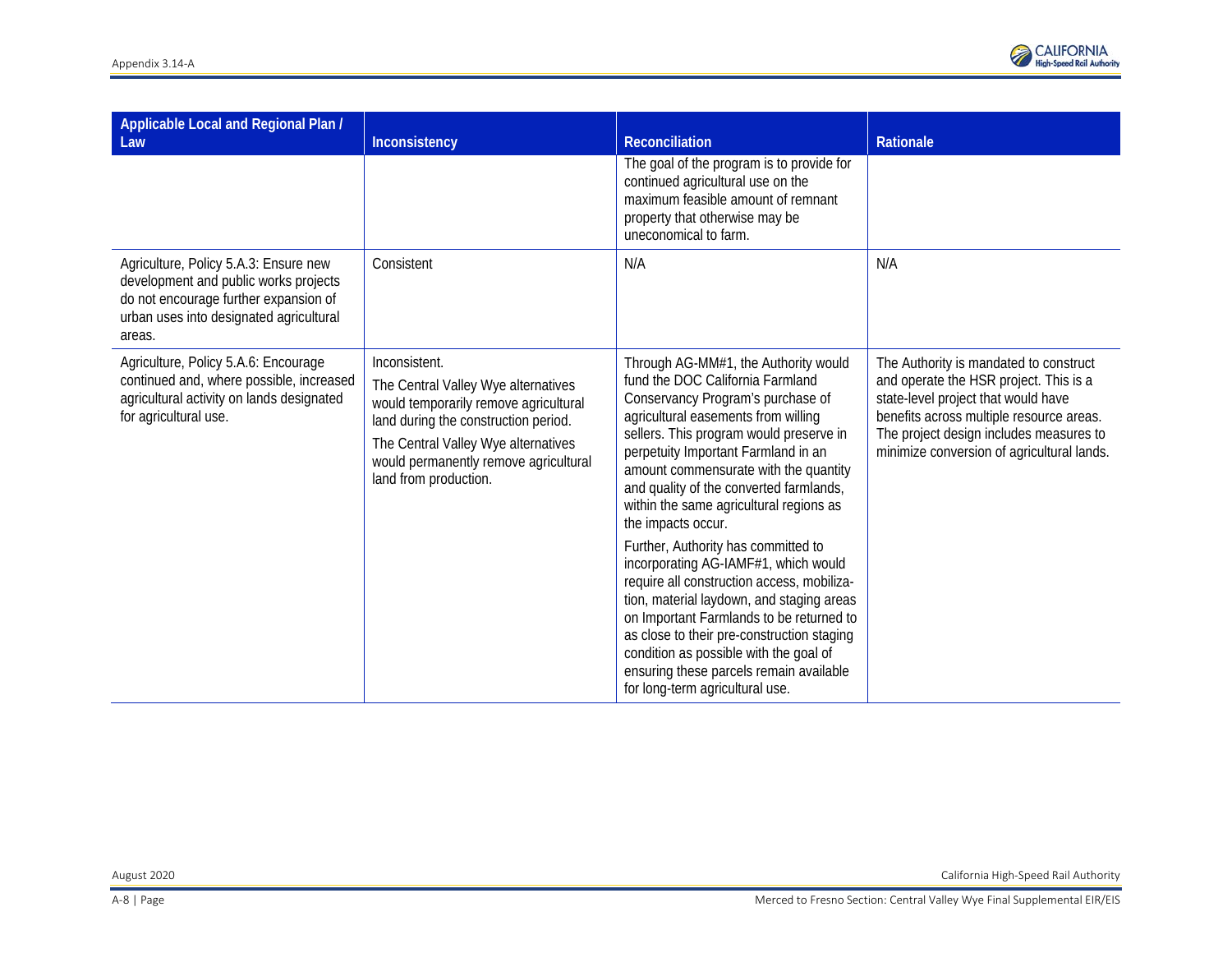

| Applicable Local and Regional Plan /<br>Law                                                                                                                                  | Inconsistency                                                                                                                                                                                                                                  | Reconciliation                                                                                                                                                                                                                                                                                                                                                                                                                                                                                                                                                                                                                                                                                                                                                                          | Rationale                                                                                                                                                                                                                                                    |
|------------------------------------------------------------------------------------------------------------------------------------------------------------------------------|------------------------------------------------------------------------------------------------------------------------------------------------------------------------------------------------------------------------------------------------|-----------------------------------------------------------------------------------------------------------------------------------------------------------------------------------------------------------------------------------------------------------------------------------------------------------------------------------------------------------------------------------------------------------------------------------------------------------------------------------------------------------------------------------------------------------------------------------------------------------------------------------------------------------------------------------------------------------------------------------------------------------------------------------------|--------------------------------------------------------------------------------------------------------------------------------------------------------------------------------------------------------------------------------------------------------------|
|                                                                                                                                                                              |                                                                                                                                                                                                                                                | The goal of the program is to provide for<br>continued agricultural use on the<br>maximum feasible amount of remnant<br>property that otherwise may be<br>uneconomical to farm.                                                                                                                                                                                                                                                                                                                                                                                                                                                                                                                                                                                                         |                                                                                                                                                                                                                                                              |
| Agriculture, Policy 5.A.3: Ensure new<br>development and public works projects<br>do not encourage further expansion of<br>urban uses into designated agricultural<br>areas. | Consistent                                                                                                                                                                                                                                     | N/A                                                                                                                                                                                                                                                                                                                                                                                                                                                                                                                                                                                                                                                                                                                                                                                     | N/A                                                                                                                                                                                                                                                          |
| Agriculture, Policy 5.A.6: Encourage<br>continued and, where possible, increased<br>agricultural activity on lands designated<br>for agricultural use.                       | Inconsistent.<br>The Central Valley Wye alternatives<br>would temporarily remove agricultural<br>land during the construction period.<br>The Central Valley Wye alternatives<br>would permanently remove agricultural<br>land from production. | Through AG-MM#1, the Authority would<br>fund the DOC California Farmland<br>Conservancy Program's purchase of<br>agricultural easements from willing<br>sellers. This program would preserve in<br>perpetuity Important Farmland in an<br>amount commensurate with the quantity<br>and quality of the converted farmlands,<br>within the same agricultural regions as<br>the impacts occur.<br>Further, Authority has committed to<br>incorporating AG-IAMF#1, which would<br>require all construction access, mobiliza-<br>tion, material laydown, and staging areas<br>on Important Farmlands to be returned to<br>as close to their pre-construction staging<br>condition as possible with the goal of<br>ensuring these parcels remain available<br>for long-term agricultural use. | The Authority is mandated to construct<br>and operate the HSR project. This is a<br>state-level project that would have<br>benefits across multiple resource areas.<br>The project design includes measures to<br>minimize conversion of agricultural lands. |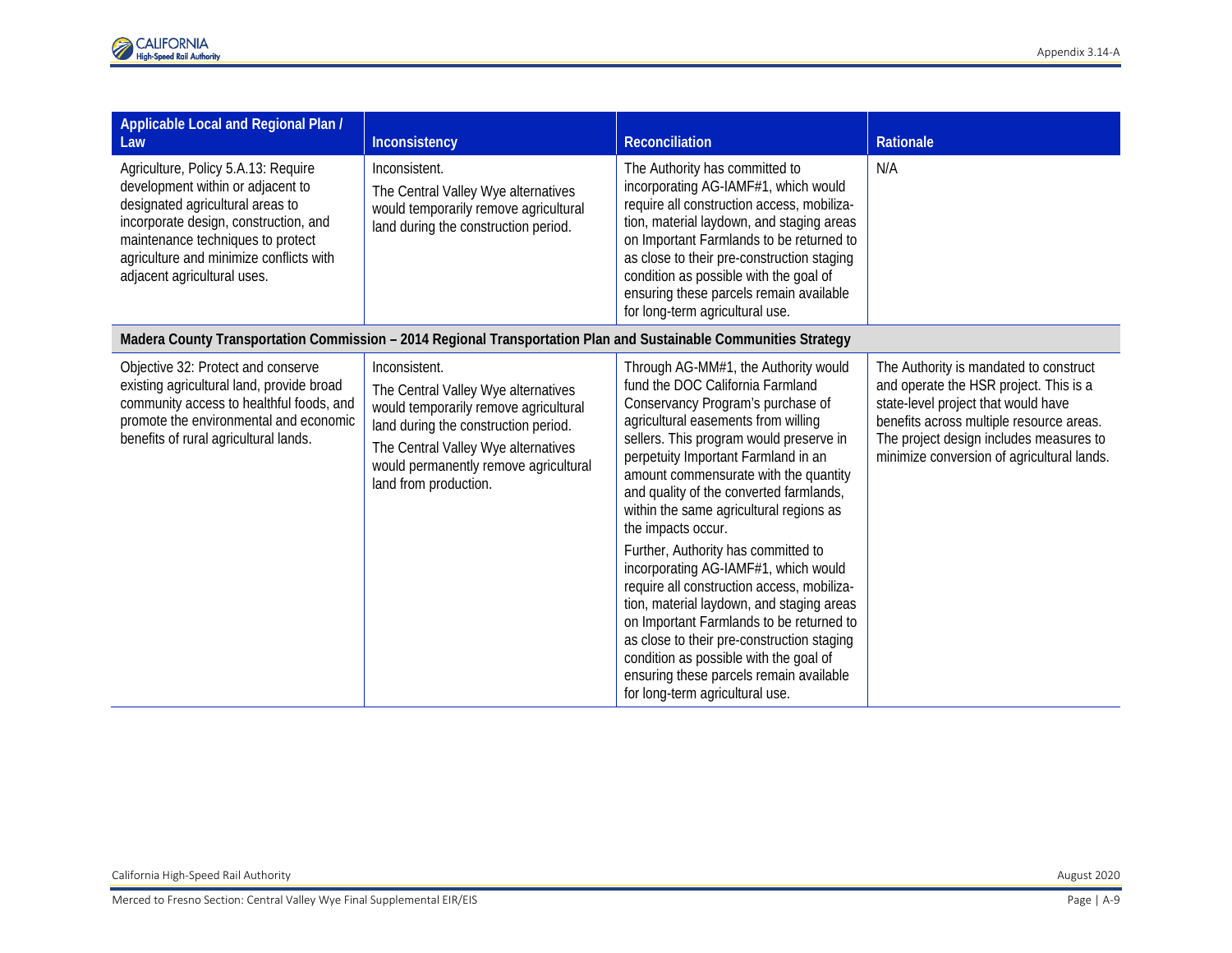| Applicable Local and Regional Plan /<br>Law                                                                                                                                                                                                                          | Inconsistency                                                                                                                                                                                                                                  | <b>Reconciliation</b>                                                                                                                                                                                                                                                                                                                                                                                                                                                                                                                                                                                                                                                                                                                                                                   | Rationale                                                                                                                                                                                                                                                    |
|----------------------------------------------------------------------------------------------------------------------------------------------------------------------------------------------------------------------------------------------------------------------|------------------------------------------------------------------------------------------------------------------------------------------------------------------------------------------------------------------------------------------------|-----------------------------------------------------------------------------------------------------------------------------------------------------------------------------------------------------------------------------------------------------------------------------------------------------------------------------------------------------------------------------------------------------------------------------------------------------------------------------------------------------------------------------------------------------------------------------------------------------------------------------------------------------------------------------------------------------------------------------------------------------------------------------------------|--------------------------------------------------------------------------------------------------------------------------------------------------------------------------------------------------------------------------------------------------------------|
| Agriculture, Policy 5.A.13: Require<br>development within or adjacent to<br>designated agricultural areas to<br>incorporate design, construction, and<br>maintenance techniques to protect<br>agriculture and minimize conflicts with<br>adjacent agricultural uses. | Inconsistent.<br>The Central Valley Wye alternatives<br>would temporarily remove agricultural<br>land during the construction period.                                                                                                          | The Authority has committed to<br>incorporating AG-IAMF#1, which would<br>require all construction access, mobiliza-<br>tion, material laydown, and staging areas<br>on Important Farmlands to be returned to<br>as close to their pre-construction staging<br>condition as possible with the goal of<br>ensuring these parcels remain available<br>for long-term agricultural use.                                                                                                                                                                                                                                                                                                                                                                                                     | N/A                                                                                                                                                                                                                                                          |
|                                                                                                                                                                                                                                                                      | Madera County Transportation Commission - 2014 Regional Transportation Plan and Sustainable Communities Strategy                                                                                                                               |                                                                                                                                                                                                                                                                                                                                                                                                                                                                                                                                                                                                                                                                                                                                                                                         |                                                                                                                                                                                                                                                              |
| Objective 32: Protect and conserve<br>existing agricultural land, provide broad<br>community access to healthful foods, and<br>promote the environmental and economic<br>benefits of rural agricultural lands.                                                       | Inconsistent.<br>The Central Valley Wye alternatives<br>would temporarily remove agricultural<br>land during the construction period.<br>The Central Valley Wye alternatives<br>would permanently remove agricultural<br>land from production. | Through AG-MM#1, the Authority would<br>fund the DOC California Farmland<br>Conservancy Program's purchase of<br>agricultural easements from willing<br>sellers. This program would preserve in<br>perpetuity Important Farmland in an<br>amount commensurate with the quantity<br>and quality of the converted farmlands,<br>within the same agricultural regions as<br>the impacts occur.<br>Further, Authority has committed to<br>incorporating AG-IAMF#1, which would<br>require all construction access, mobiliza-<br>tion, material laydown, and staging areas<br>on Important Farmlands to be returned to<br>as close to their pre-construction staging<br>condition as possible with the goal of<br>ensuring these parcels remain available<br>for long-term agricultural use. | The Authority is mandated to construct<br>and operate the HSR project. This is a<br>state-level project that would have<br>benefits across multiple resource areas.<br>The project design includes measures to<br>minimize conversion of agricultural lands. |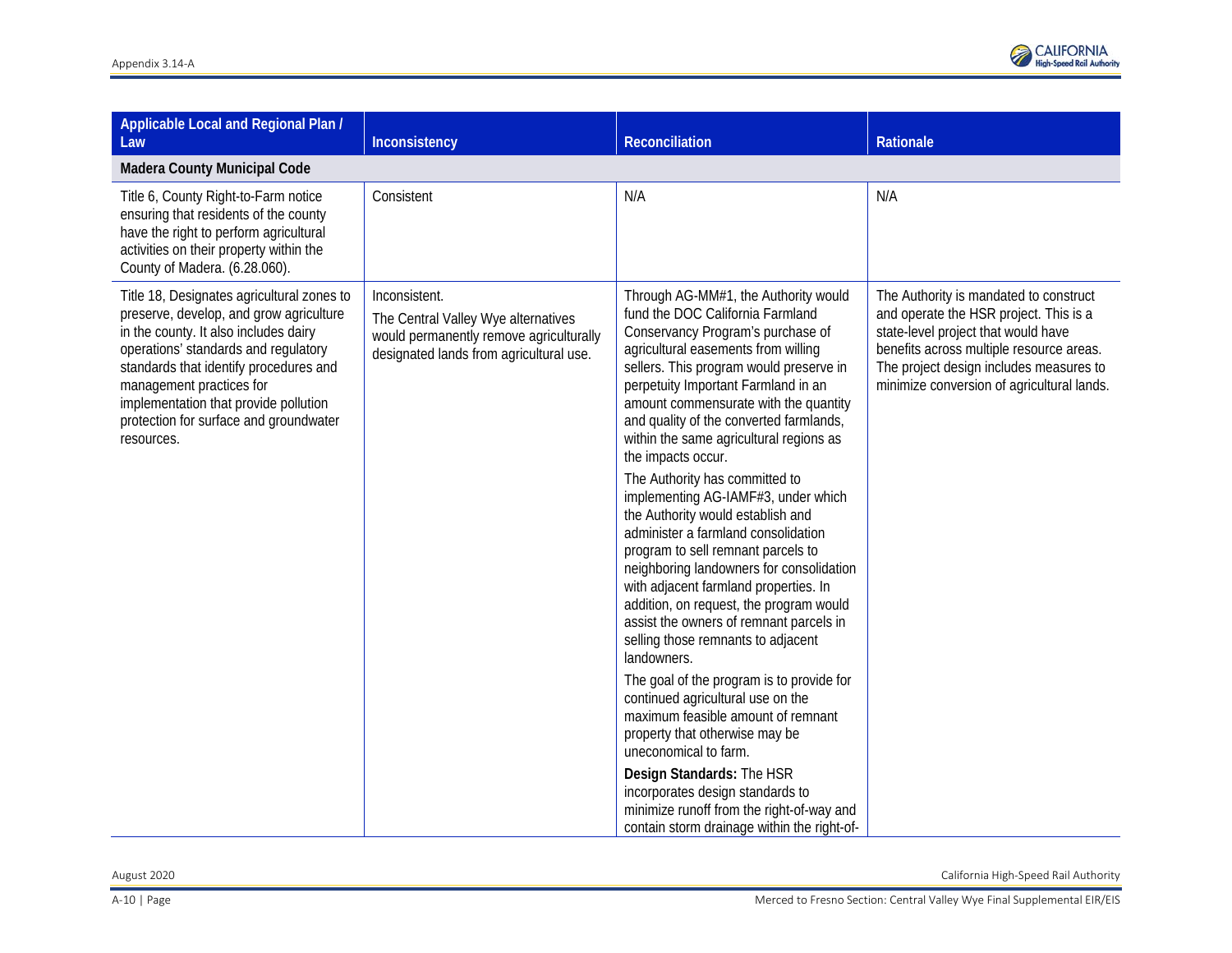

| Applicable Local and Regional Plan /<br>Law                                                                                                                                                                                                                                                                                                   | Inconsistency                                                                                                                              | <b>Reconciliation</b>                                                                                                                                                                                                                                                                                                                                                                                                                                                                                                                                                                                                                                                                                                                                                                                                                                                                                                                                                                                                                                                                                                                                                  | Rationale                                                                                                                                                                                                                                                    |
|-----------------------------------------------------------------------------------------------------------------------------------------------------------------------------------------------------------------------------------------------------------------------------------------------------------------------------------------------|--------------------------------------------------------------------------------------------------------------------------------------------|------------------------------------------------------------------------------------------------------------------------------------------------------------------------------------------------------------------------------------------------------------------------------------------------------------------------------------------------------------------------------------------------------------------------------------------------------------------------------------------------------------------------------------------------------------------------------------------------------------------------------------------------------------------------------------------------------------------------------------------------------------------------------------------------------------------------------------------------------------------------------------------------------------------------------------------------------------------------------------------------------------------------------------------------------------------------------------------------------------------------------------------------------------------------|--------------------------------------------------------------------------------------------------------------------------------------------------------------------------------------------------------------------------------------------------------------|
| <b>Madera County Municipal Code</b>                                                                                                                                                                                                                                                                                                           |                                                                                                                                            |                                                                                                                                                                                                                                                                                                                                                                                                                                                                                                                                                                                                                                                                                                                                                                                                                                                                                                                                                                                                                                                                                                                                                                        |                                                                                                                                                                                                                                                              |
| Title 6, County Right-to-Farm notice<br>ensuring that residents of the county<br>have the right to perform agricultural<br>activities on their property within the<br>County of Madera. (6.28.060).                                                                                                                                           | Consistent                                                                                                                                 | N/A                                                                                                                                                                                                                                                                                                                                                                                                                                                                                                                                                                                                                                                                                                                                                                                                                                                                                                                                                                                                                                                                                                                                                                    | N/A                                                                                                                                                                                                                                                          |
| Title 18, Designates agricultural zones to<br>preserve, develop, and grow agriculture<br>in the county. It also includes dairy<br>operations' standards and regulatory<br>standards that identify procedures and<br>management practices for<br>implementation that provide pollution<br>protection for surface and groundwater<br>resources. | Inconsistent.<br>The Central Valley Wye alternatives<br>would permanently remove agriculturally<br>designated lands from agricultural use. | Through AG-MM#1, the Authority would<br>fund the DOC California Farmland<br>Conservancy Program's purchase of<br>agricultural easements from willing<br>sellers. This program would preserve in<br>perpetuity Important Farmland in an<br>amount commensurate with the quantity<br>and quality of the converted farmlands,<br>within the same agricultural regions as<br>the impacts occur.<br>The Authority has committed to<br>implementing AG-IAMF#3, under which<br>the Authority would establish and<br>administer a farmland consolidation<br>program to sell remnant parcels to<br>neighboring landowners for consolidation<br>with adjacent farmland properties. In<br>addition, on request, the program would<br>assist the owners of remnant parcels in<br>selling those remnants to adjacent<br>landowners.<br>The goal of the program is to provide for<br>continued agricultural use on the<br>maximum feasible amount of remnant<br>property that otherwise may be<br>uneconomical to farm.<br>Design Standards: The HSR<br>incorporates design standards to<br>minimize runoff from the right-of-way and<br>contain storm drainage within the right-of- | The Authority is mandated to construct<br>and operate the HSR project. This is a<br>state-level project that would have<br>benefits across multiple resource areas.<br>The project design includes measures to<br>minimize conversion of agricultural lands. |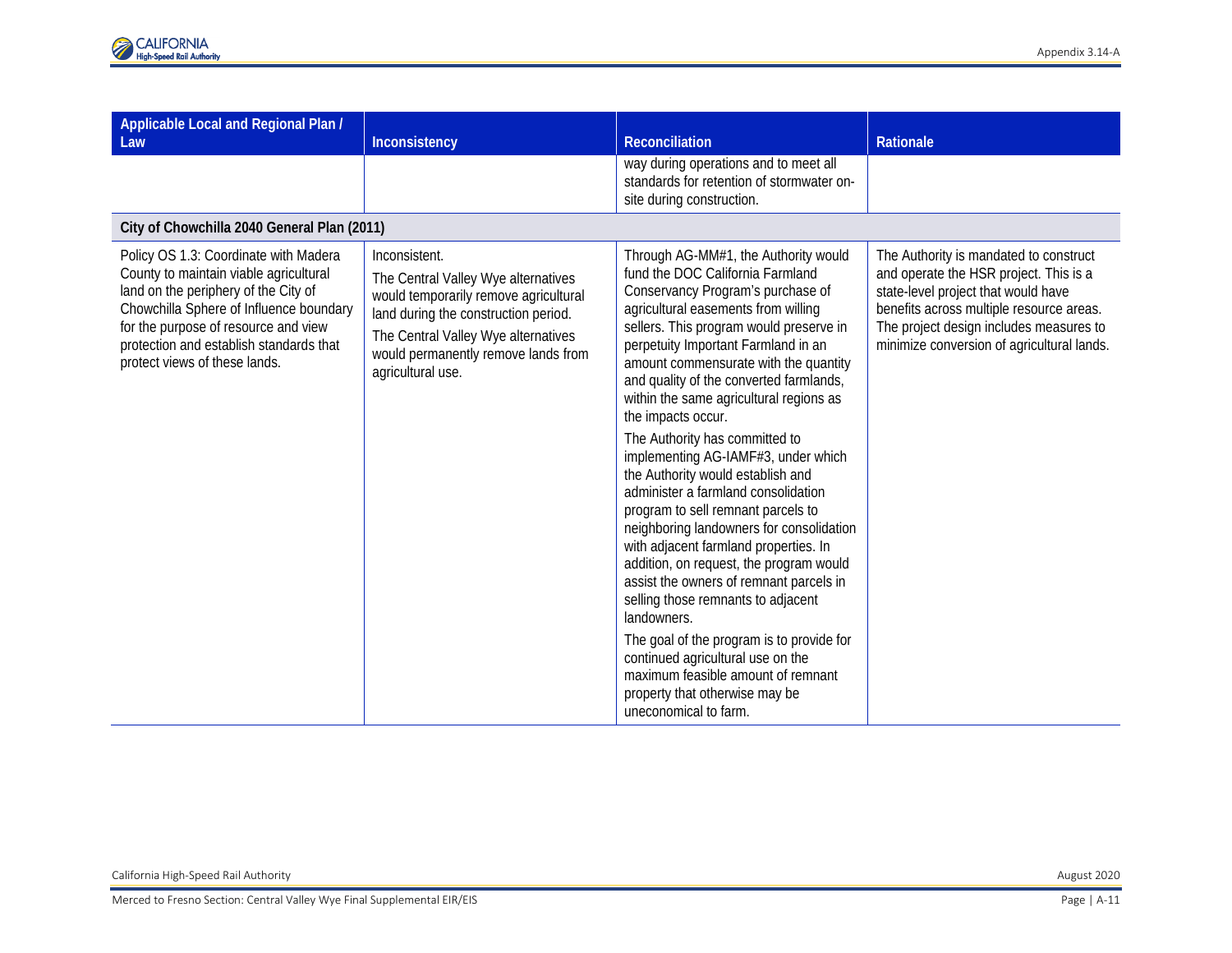| Applicable Local and Regional Plan /<br>Law                                                                                                                                                                                                                                            | Inconsistency                                                                                                                                                                                                                            | <b>Reconciliation</b>                                                                                                                                                                                                                                                                                                                                                                                                                                                                                                                                                                                                                                                                                                                                                                                                                                                                                                                                                                                     | Rationale                                                                                                                                                                                                                                                    |
|----------------------------------------------------------------------------------------------------------------------------------------------------------------------------------------------------------------------------------------------------------------------------------------|------------------------------------------------------------------------------------------------------------------------------------------------------------------------------------------------------------------------------------------|-----------------------------------------------------------------------------------------------------------------------------------------------------------------------------------------------------------------------------------------------------------------------------------------------------------------------------------------------------------------------------------------------------------------------------------------------------------------------------------------------------------------------------------------------------------------------------------------------------------------------------------------------------------------------------------------------------------------------------------------------------------------------------------------------------------------------------------------------------------------------------------------------------------------------------------------------------------------------------------------------------------|--------------------------------------------------------------------------------------------------------------------------------------------------------------------------------------------------------------------------------------------------------------|
|                                                                                                                                                                                                                                                                                        |                                                                                                                                                                                                                                          | way during operations and to meet all<br>standards for retention of stormwater on-<br>site during construction.                                                                                                                                                                                                                                                                                                                                                                                                                                                                                                                                                                                                                                                                                                                                                                                                                                                                                           |                                                                                                                                                                                                                                                              |
| City of Chowchilla 2040 General Plan (2011)                                                                                                                                                                                                                                            |                                                                                                                                                                                                                                          |                                                                                                                                                                                                                                                                                                                                                                                                                                                                                                                                                                                                                                                                                                                                                                                                                                                                                                                                                                                                           |                                                                                                                                                                                                                                                              |
| Policy OS 1.3: Coordinate with Madera<br>County to maintain viable agricultural<br>land on the periphery of the City of<br>Chowchilla Sphere of Influence boundary<br>for the purpose of resource and view<br>protection and establish standards that<br>protect views of these lands. | Inconsistent.<br>The Central Valley Wye alternatives<br>would temporarily remove agricultural<br>land during the construction period.<br>The Central Valley Wye alternatives<br>would permanently remove lands from<br>agricultural use. | Through AG-MM#1, the Authority would<br>fund the DOC California Farmland<br>Conservancy Program's purchase of<br>agricultural easements from willing<br>sellers. This program would preserve in<br>perpetuity Important Farmland in an<br>amount commensurate with the quantity<br>and quality of the converted farmlands,<br>within the same agricultural regions as<br>the impacts occur.<br>The Authority has committed to<br>implementing AG-IAMF#3, under which<br>the Authority would establish and<br>administer a farmland consolidation<br>program to sell remnant parcels to<br>neighboring landowners for consolidation<br>with adjacent farmland properties. In<br>addition, on request, the program would<br>assist the owners of remnant parcels in<br>selling those remnants to adjacent<br>landowners.<br>The goal of the program is to provide for<br>continued agricultural use on the<br>maximum feasible amount of remnant<br>property that otherwise may be<br>uneconomical to farm. | The Authority is mandated to construct<br>and operate the HSR project. This is a<br>state-level project that would have<br>benefits across multiple resource areas.<br>The project design includes measures to<br>minimize conversion of agricultural lands. |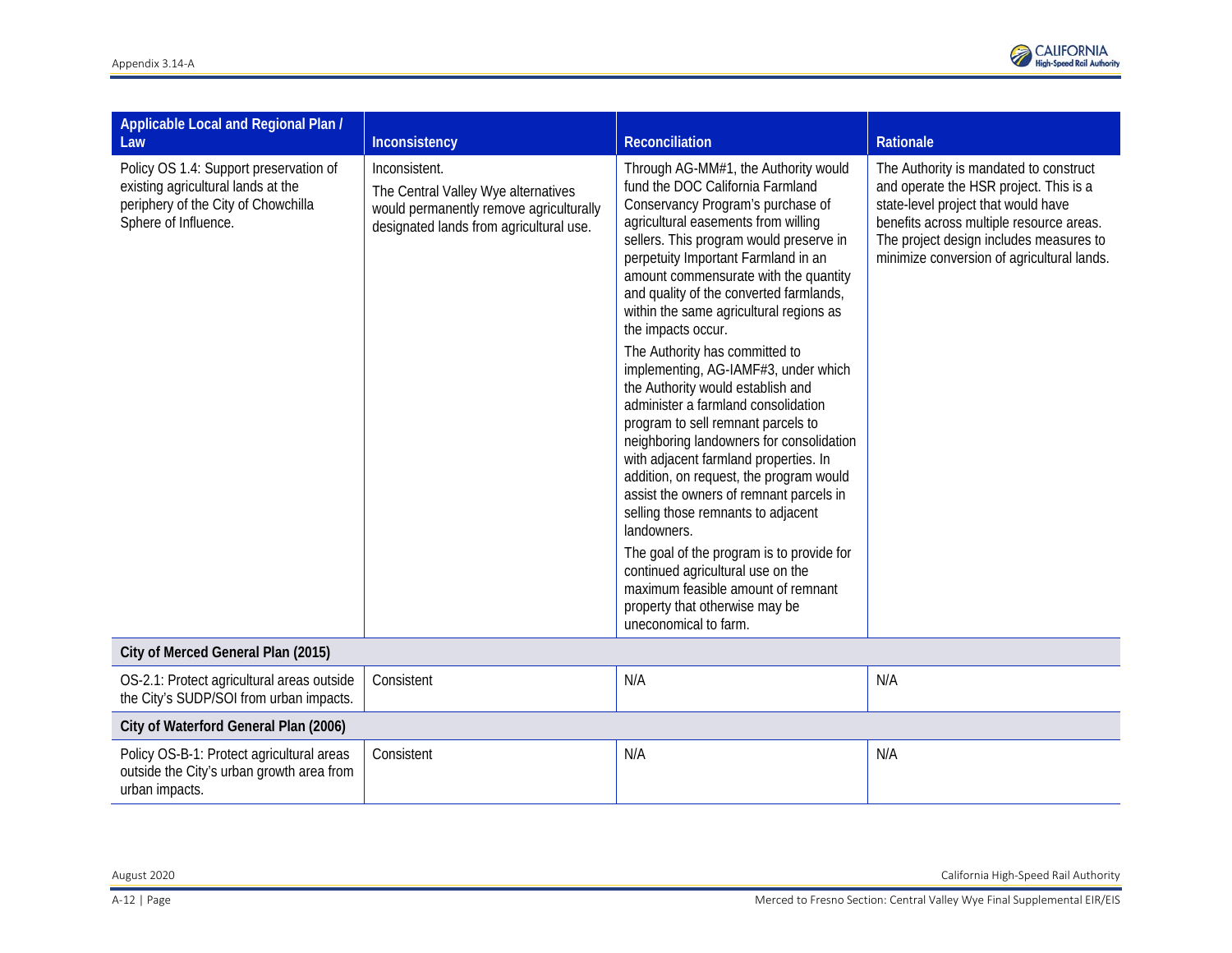

| Applicable Local and Regional Plan /<br>Law                                                                                                 | Inconsistency                                                                                                                              | Reconciliation                                                                                                                                                                                                                                                                                                                                                                                                                                                                                                                                                                                                                                                                                                                                                                                                                                                                                                                                                                                             | Rationale                                                                                                                                                                                                                                                    |
|---------------------------------------------------------------------------------------------------------------------------------------------|--------------------------------------------------------------------------------------------------------------------------------------------|------------------------------------------------------------------------------------------------------------------------------------------------------------------------------------------------------------------------------------------------------------------------------------------------------------------------------------------------------------------------------------------------------------------------------------------------------------------------------------------------------------------------------------------------------------------------------------------------------------------------------------------------------------------------------------------------------------------------------------------------------------------------------------------------------------------------------------------------------------------------------------------------------------------------------------------------------------------------------------------------------------|--------------------------------------------------------------------------------------------------------------------------------------------------------------------------------------------------------------------------------------------------------------|
| Policy OS 1.4: Support preservation of<br>existing agricultural lands at the<br>periphery of the City of Chowchilla<br>Sphere of Influence. | Inconsistent.<br>The Central Valley Wye alternatives<br>would permanently remove agriculturally<br>designated lands from agricultural use. | Through AG-MM#1, the Authority would<br>fund the DOC California Farmland<br>Conservancy Program's purchase of<br>agricultural easements from willing<br>sellers. This program would preserve in<br>perpetuity Important Farmland in an<br>amount commensurate with the quantity<br>and quality of the converted farmlands,<br>within the same agricultural regions as<br>the impacts occur.<br>The Authority has committed to<br>implementing, AG-IAMF#3, under which<br>the Authority would establish and<br>administer a farmland consolidation<br>program to sell remnant parcels to<br>neighboring landowners for consolidation<br>with adjacent farmland properties. In<br>addition, on request, the program would<br>assist the owners of remnant parcels in<br>selling those remnants to adjacent<br>landowners.<br>The goal of the program is to provide for<br>continued agricultural use on the<br>maximum feasible amount of remnant<br>property that otherwise may be<br>uneconomical to farm. | The Authority is mandated to construct<br>and operate the HSR project. This is a<br>state-level project that would have<br>benefits across multiple resource areas.<br>The project design includes measures to<br>minimize conversion of agricultural lands. |
| City of Merced General Plan (2015)                                                                                                          |                                                                                                                                            |                                                                                                                                                                                                                                                                                                                                                                                                                                                                                                                                                                                                                                                                                                                                                                                                                                                                                                                                                                                                            |                                                                                                                                                                                                                                                              |
| OS-2.1: Protect agricultural areas outside<br>the City's SUDP/SOI from urban impacts.                                                       | Consistent                                                                                                                                 | N/A                                                                                                                                                                                                                                                                                                                                                                                                                                                                                                                                                                                                                                                                                                                                                                                                                                                                                                                                                                                                        | N/A                                                                                                                                                                                                                                                          |
| City of Waterford General Plan (2006)                                                                                                       |                                                                                                                                            |                                                                                                                                                                                                                                                                                                                                                                                                                                                                                                                                                                                                                                                                                                                                                                                                                                                                                                                                                                                                            |                                                                                                                                                                                                                                                              |
| Policy OS-B-1: Protect agricultural areas<br>outside the City's urban growth area from<br>urban impacts.                                    | Consistent                                                                                                                                 | N/A                                                                                                                                                                                                                                                                                                                                                                                                                                                                                                                                                                                                                                                                                                                                                                                                                                                                                                                                                                                                        | N/A                                                                                                                                                                                                                                                          |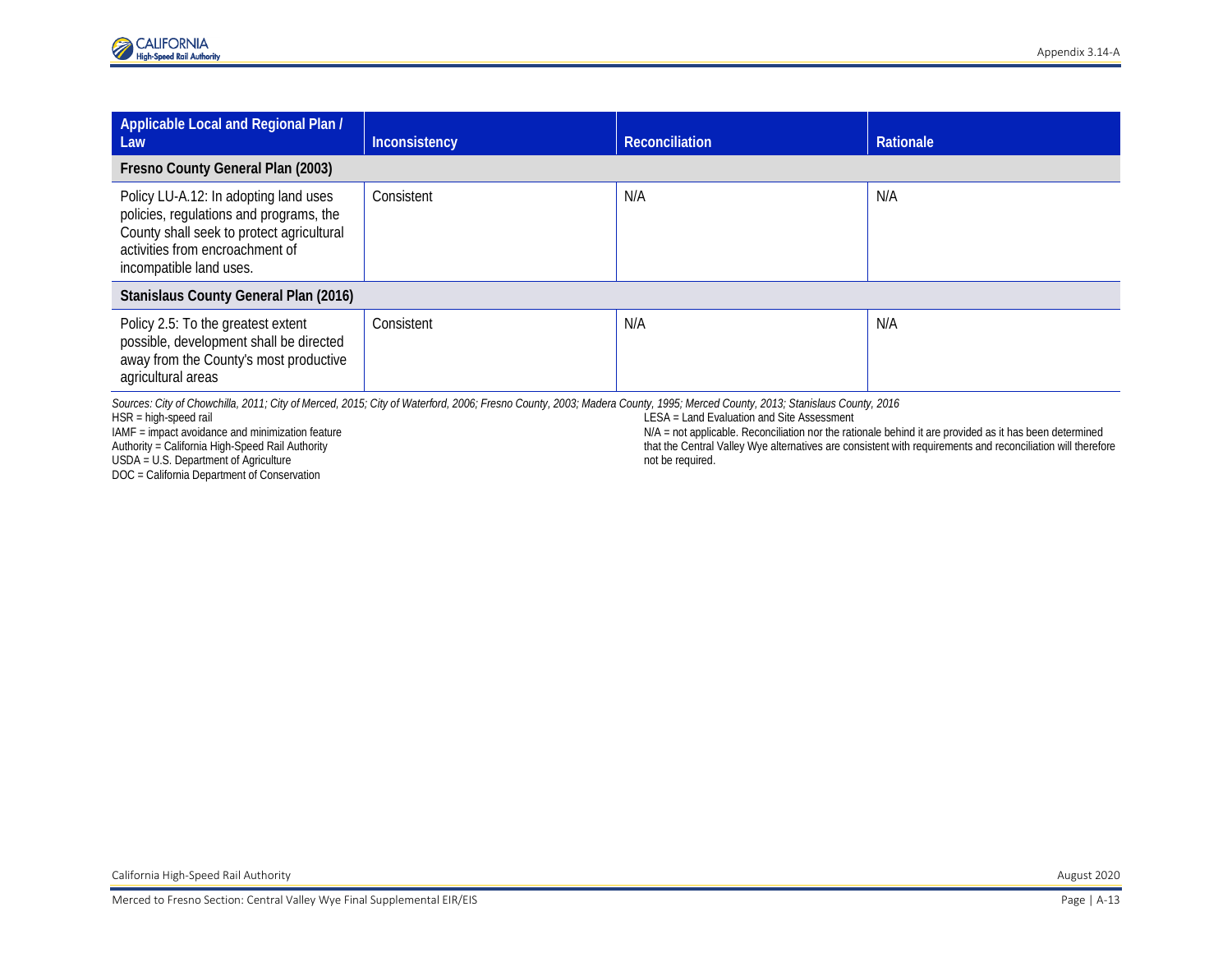| Applicable Local and Regional Plan /<br>Law                                                                                                                                                 | Inconsistency | <b>Reconciliation</b> | Rationale |
|---------------------------------------------------------------------------------------------------------------------------------------------------------------------------------------------|---------------|-----------------------|-----------|
| Fresno County General Plan (2003)                                                                                                                                                           |               |                       |           |
| Policy LU-A.12: In adopting land uses<br>policies, regulations and programs, the<br>County shall seek to protect agricultural<br>activities from encroachment of<br>incompatible land uses. | Consistent    | N/A                   | N/A       |
| Stanislaus County General Plan (2016)                                                                                                                                                       |               |                       |           |
| Policy 2.5: To the greatest extent<br>possible, development shall be directed<br>away from the County's most productive<br>agricultural areas                                               | Consistent    | N/A                   | N/A       |

*Sources: City of Chowchilla, 2011; City of Merced, 2015; City of Waterford, 2006; Fresno County, 2003; Madera County, 1995; Merced County, 2013; Stanislaus County, 2016*

HSR = high-speed rail

IAMF = impact avoidance and minimization feature

Authority = California High-Speed Rail Authority

USDA = U.S. Department of Agriculture

DOC = California Department of Conservation

LESA = Land Evaluation and Site Assessment

N/A = not applicable. Reconciliation nor the rationale behind it are provided as it has been determined that the Central Valley Wye alternatives are consistent with requirements and reconciliation will therefore not be required.